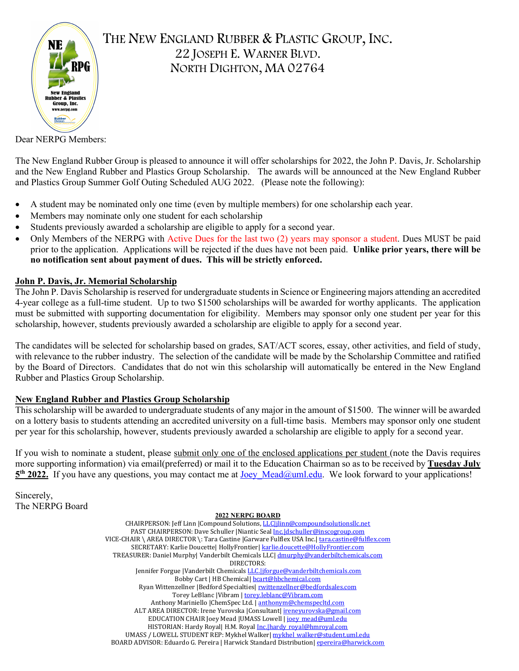

Dear NERPG Members:

The New England Rubber Group is pleased to announce it will offer scholarships for 2022, the John P. Davis, Jr. Scholarship and the New England Rubber and Plastics Group Scholarship. The awards will be announced at the New England Rubber and Plastics Group Summer Golf Outing Scheduled AUG 2022. (Please note the following):

- A student may be nominated only one time (even by multiple members) for one scholarship each year.
- Members may nominate only one student for each scholarship
- Students previously awarded a scholarship are eligible to apply for a second year.
- Only Members of the NERPG with Active Dues for the last two (2) years may sponsor a student. Dues MUST be paid prior to the application. Applications will be rejected if the dues have not been paid. **Unlike prior years, there will be no notification sent about payment of dues. This will be strictly enforced.**

#### **John P. Davis, Jr. Memorial Scholarship**

The John P. Davis Scholarship is reserved for undergraduate students in Science or Engineering majors attending an accredited 4-year college as a full-time student. Up to two \$1500 scholarships will be awarded for worthy applicants. The application must be submitted with supporting documentation for eligibility. Members may sponsor only one student per year for this scholarship, however, students previously awarded a scholarship are eligible to apply for a second year.

The candidates will be selected for scholarship based on grades, SAT/ACT scores, essay, other activities, and field of study, with relevance to the rubber industry. The selection of the candidate will be made by the Scholarship Committee and ratified by the Board of Directors. Candidates that do not win this scholarship will automatically be entered in the New England Rubber and Plastics Group Scholarship.

#### **New England Rubber and Plastics Group Scholarship**

This scholarship will be awarded to undergraduate students of any major in the amount of \$1500. The winner will be awarded on a lottery basis to students attending an accredited university on a full-time basis. Members may sponsor only one student per year for this scholarship, however, students previously awarded a scholarship are eligible to apply for a second year.

If you wish to nominate a student, please submit only one of the enclosed applications per student (note the Davis requires more supporting information) via email(preferred) or mail it to the Education Chairman so as to be received by **Tuesday July**  5<sup>th</sup> 2022. If you have any questions, you may contact me at <u>Joey Mead@uml.edu</u>. We look forward to your applications!

Sincerely, The NERPG Board

**2022 NERPG BOARD** CHAIRPERSON: Jeff Linn |Compound Solutions[, LLC|jlinn@compoundsolutionsllc.net](mailto:LLC%7Cjlinn@compoundsolutionsllc.net)  PAST CHAIRPERSON: Dave Schuller | Niantic Seal Inc.|dschuller@inscogroup.com VICE-CHAIR \ AREA DIRECTOR \: Tara Castine |Garware Fulflex USA Inc.| tara.castine@fulflex.com SECRETARY: Karlie Doucette| HollyFrontier| karlie.doucette@HollyFrontier.com TREASURER: Daniel Murphy| Vanderbilt Chemicals LLC[| dmurphy@vanderbiltchemicals.com](mailto:dmurphy@vanderbiltchemicals.com) DIRECTORS: Jennifer Forgue |Vanderbilt Chemical[s LLC.|jforgue@vanderbiltchemicals.com](mailto:LLC.%7Cjforgue@vanderbiltchemicals.com)  Bobby Cart | HB Chemical[| bcart@hbchemical.com](mailto:bcart@hbchemical.com)  Ryan Wittenzellner |Bedford Specialties| rwittenzellner@bedfordsales.com Torey LeBlanc |Vibram [| torey.leblanc@Vibram.com](mailto:torey.leblanc@Vibram.com)  Anthony Mariniello |ChemSpec Ltd. | anthonym@chemspecltd.com ALT AREA DIRECTOR: Irene Yurovska |Consultant[| ireneyurovska@gmail.com](mailto:ireneyurovska@gmail.com)  EDUCATION CHAIR Joey Mead |UMASS Lowell | joey\_mead@uml.edu HISTORIAN: Hardy Royal| H.M. Royal Inc. hardy royal@hmroyal.com UMASS / LOWELL STUDENT REP: Mykhel Walker| mykhel\_walker@student.uml.edu BOARD ADVISOR: Eduardo G. Pereira | Harwick Standard Distribution[| epereira@harwick.com](mailto:epereira@harwick.com)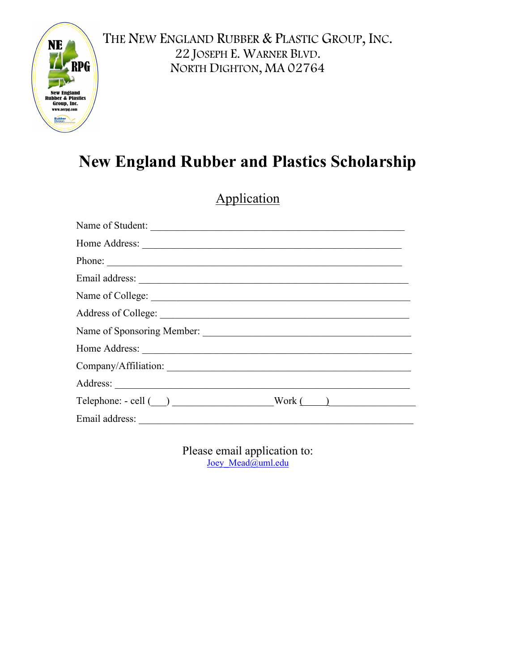

# **New England Rubber and Plastics Scholarship**

|                                                      | pplication |  |
|------------------------------------------------------|------------|--|
| Name of Student:                                     |            |  |
|                                                      |            |  |
| Phone:                                               |            |  |
|                                                      |            |  |
|                                                      |            |  |
|                                                      |            |  |
| Name of Sponsoring Member:                           |            |  |
| Home Address:                                        |            |  |
|                                                      |            |  |
|                                                      |            |  |
| $\text{Telephone: - cell } (\_\_\_\_\_\_\_\_\_\_\_\$ |            |  |
|                                                      |            |  |
|                                                      |            |  |

Please email application to: Joey Mead@uml.edu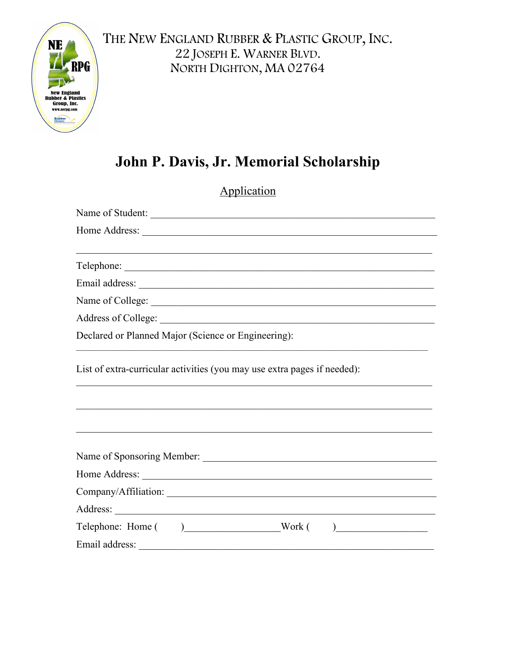

### John P. Davis, Jr. Memorial Scholarship

| Application                                                              |  |  |  |
|--------------------------------------------------------------------------|--|--|--|
| Name of Student:                                                         |  |  |  |
|                                                                          |  |  |  |
| Telephone:                                                               |  |  |  |
|                                                                          |  |  |  |
|                                                                          |  |  |  |
|                                                                          |  |  |  |
| Declared or Planned Major (Science or Engineering):                      |  |  |  |
| List of extra-curricular activities (you may use extra pages if needed): |  |  |  |
|                                                                          |  |  |  |
|                                                                          |  |  |  |
| Company/Affiliation:                                                     |  |  |  |
|                                                                          |  |  |  |
| Telephone: Home () Work ()                                               |  |  |  |
|                                                                          |  |  |  |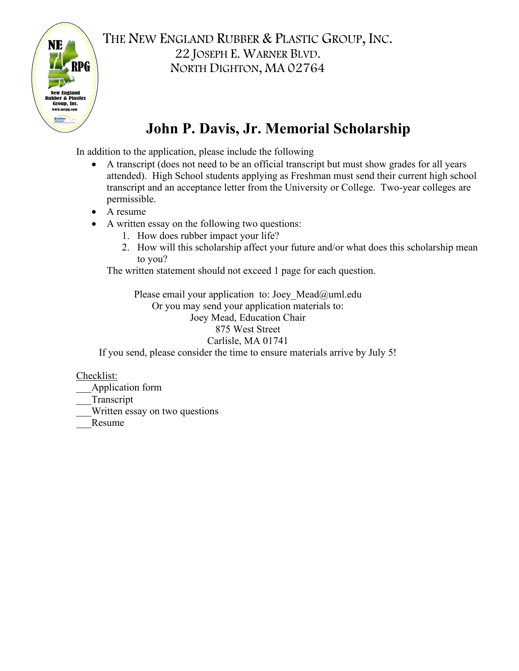

### **John P. Davis, Jr. Memorial Scholarship**

In addition to the application, please include the following

- A transcript (does not need to be an official transcript but must show grades for all years attended). High School students applying as Freshman must send their current high school transcript and an acceptance letter from the University or College. Two-year colleges are permissible.
- A resume
- A written essay on the following two questions:
	- 1. How does rubber impact your life?
	- 2. How will this scholarship affect your future and/or what does this scholarship mean to you?

The written statement should not exceed 1 page for each question.

Please email your application to: Joey Mead@uml.edu Or you may send your application materials to: Joey Mead, Education Chair 875 West Street Carlisle, MA 01741 If you send, please consider the time to ensure materials arrive by July 5!

Checklist:

\_\_\_Application form

\_\_\_Transcript

\_\_\_Written essay on two questions

\_\_\_Resume